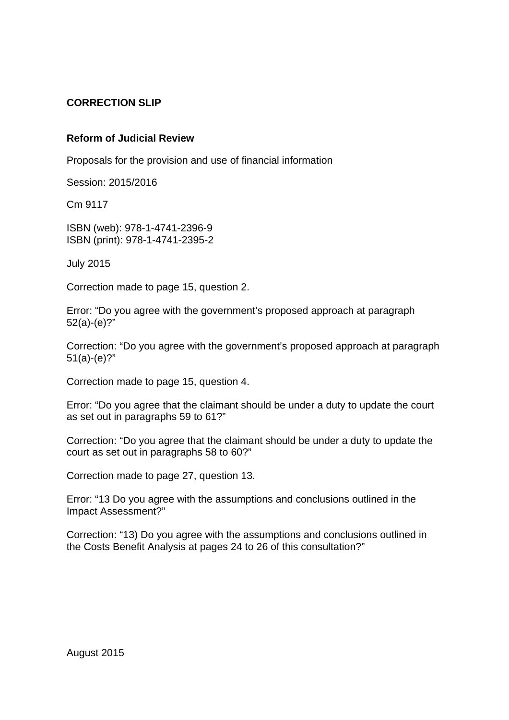#### **CORRECTION SLIP**

#### **Reform of Judicial Review**

Proposals for the provision and use of financial information

Session: 2015/2016

Cm 9117

ISBN (web): 978-1-4741-2396-9 ISBN (print): 978-1-4741-2395-2

July 2015

Correction made to page 15, question 2.

Error: "Do you agree with the government's proposed approach at paragraph 52(a)-(e)?"

Correction: "Do you agree with the government's proposed approach at paragraph 51(a)-(e)?"

Correction made to page 15, question 4.

Error: "Do you agree that the claimant should be under a duty to update the court as set out in paragraphs 59 to 61?"

Correction: "Do you agree that the claimant should be under a duty to update the court as set out in paragraphs 58 to 60?"

Correction made to page 27, question 13.

Error: "13 Do you agree with the assumptions and conclusions outlined in the Impact Assessment?"

Correction: "13) Do you agree with the assumptions and conclusions outlined in the Costs Benefit Analysis at pages 24 to 26 of this consultation?"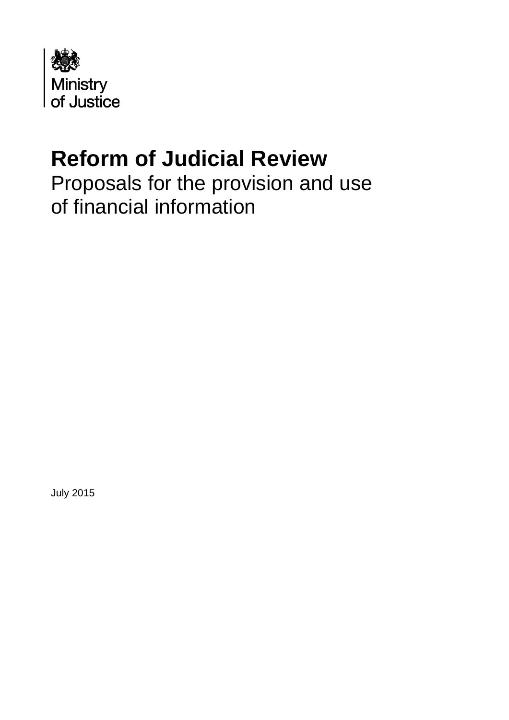

# **Reform of Judicial Review**

Proposals for the provision and use of financial information

July 2015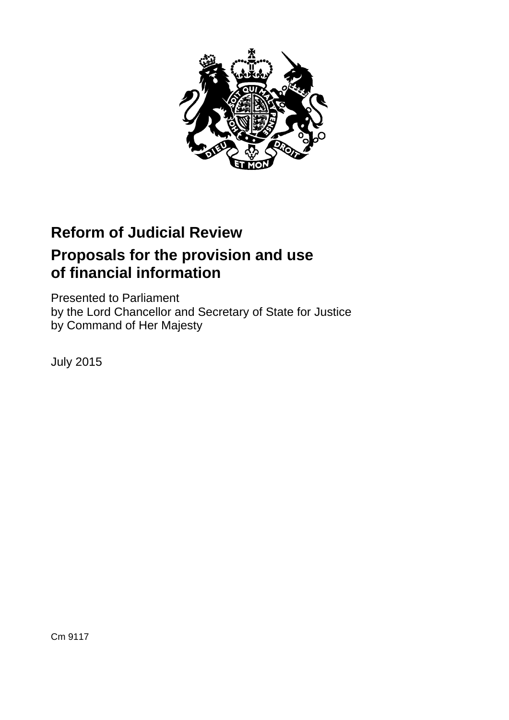

## **Reform of Judicial Review Proposals for the provision and use of financial information**

Presented to Parliament by the Lord Chancellor and Secretary of State for Justice by Command of Her Majesty

July 2015

Cm 9117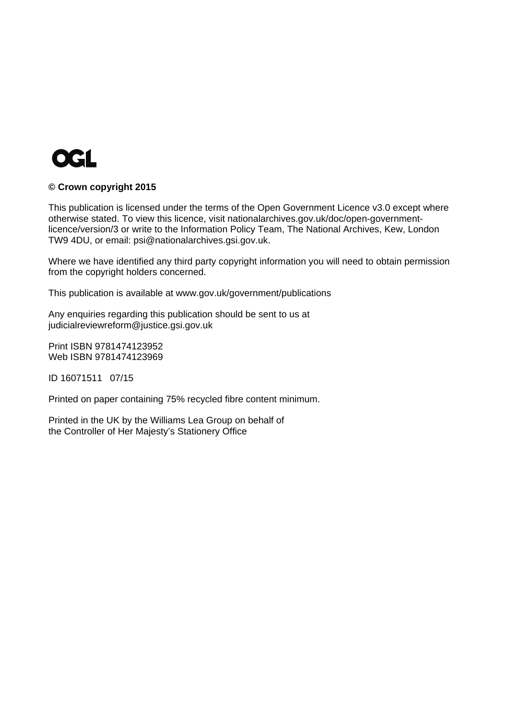

#### **© Crown copyright 2015**

This publication is licensed under the terms of the Open Government Licence v3.0 except where otherwise stated. To view this licence, visit [nationalarchives.gov.uk/doc/open-government](http://nationalarchives.gov.uk/doc/open-government-licence/version/3/)[licence/version/3](http://nationalarchives.gov.uk/doc/open-government-licence/version/3/) or write to the Information Policy Team, The National Archives, Kew, London TW9 4DU, or email: [psi@nationalarchives.gsi.gov.uk.](mailto:psi@nationalarchives.gsi.gov.uk)

Where we have identified any third party copyright information you will need to obtain permission from the copyright holders concerned.

This publication is available at [www.gov.uk/government/publications](http://www.gov.uk/government/publications) 

Any enquiries regarding this publication should be sent to us at [judicialreviewreform@justice.gsi.gov.uk](mailto:judicialreviewreform@justice.gsi.gov.uk) 

Print ISBN 9781474123952 Web ISBN 9781474123969

ID 16071511 07/15

Printed on paper containing 75% recycled fibre content minimum.

Printed in the UK by the Williams Lea Group on behalf of the Controller of Her Majesty's Stationery Office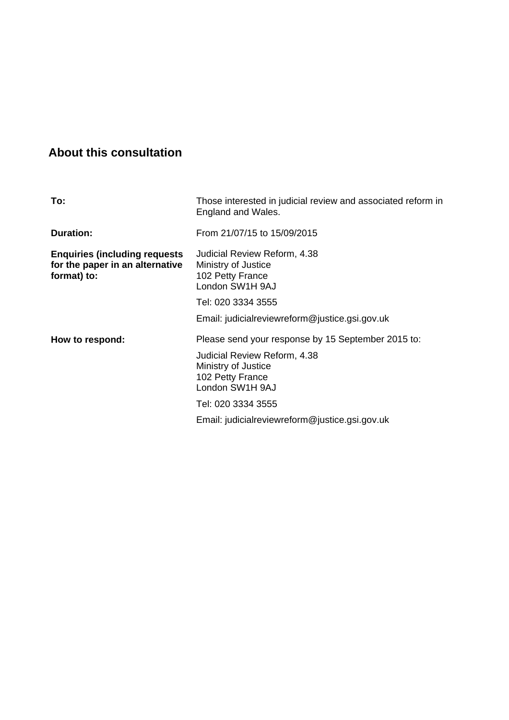## **About this consultation**

| To:                                                                                     | Those interested in judicial review and associated reform in<br>England and Wales.         |
|-----------------------------------------------------------------------------------------|--------------------------------------------------------------------------------------------|
| <b>Duration:</b>                                                                        | From 21/07/15 to 15/09/2015                                                                |
| <b>Enquiries (including requests)</b><br>for the paper in an alternative<br>format) to: | Judicial Review Reform, 4.38<br>Ministry of Justice<br>102 Petty France<br>London SW1H 9AJ |
|                                                                                         | Tel: 020 3334 3555                                                                         |
|                                                                                         | Email: judicialreviewreform@justice.gsi.gov.uk                                             |
| How to respond:                                                                         | Please send your response by 15 September 2015 to:                                         |
|                                                                                         | Judicial Review Reform, 4.38<br>Ministry of Justice<br>102 Petty France<br>London SW1H 9AJ |
|                                                                                         | Tel: 020 3334 3555                                                                         |
|                                                                                         | Email: judicialreviewreform@justice.gsi.gov.uk                                             |
|                                                                                         |                                                                                            |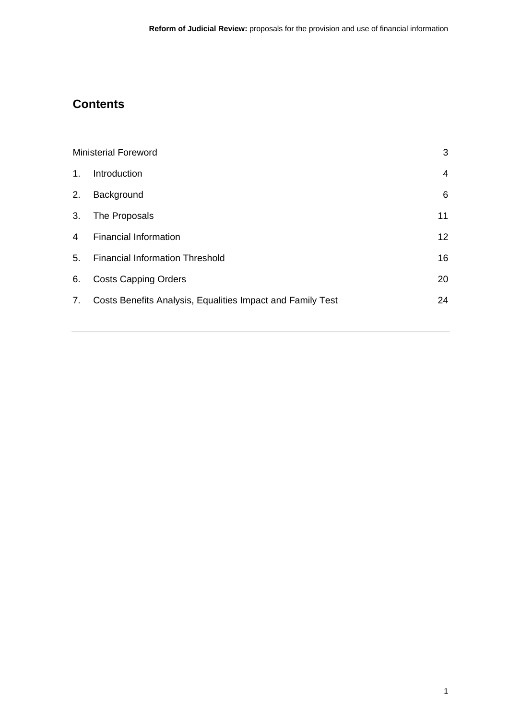## **Contents**

|    | <b>Ministerial Foreword</b>                                | 3              |
|----|------------------------------------------------------------|----------------|
| 1. | Introduction                                               | $\overline{4}$ |
| 2. | Background                                                 | 6              |
| 3. | The Proposals                                              | 11             |
| 4  | <b>Financial Information</b>                               | 12             |
| 5. | <b>Financial Information Threshold</b>                     | 16             |
| 6. | <b>Costs Capping Orders</b>                                | 20             |
| 7. | Costs Benefits Analysis, Equalities Impact and Family Test | 24             |
|    |                                                            |                |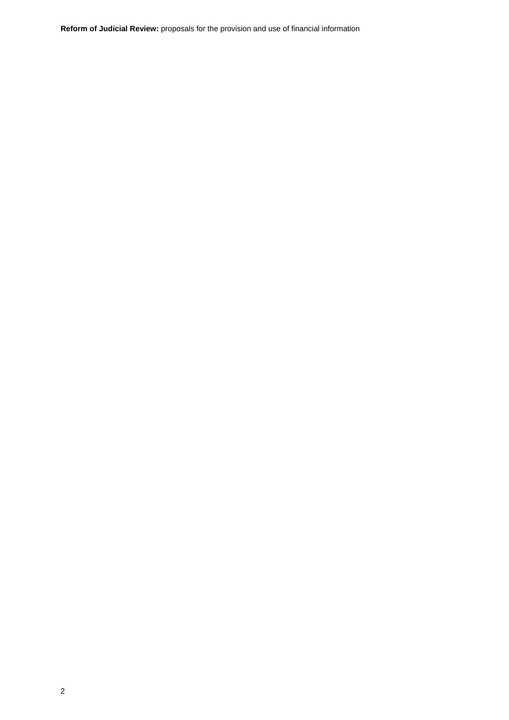**Reform of Judicial Review:** proposals for the provision and use of financial information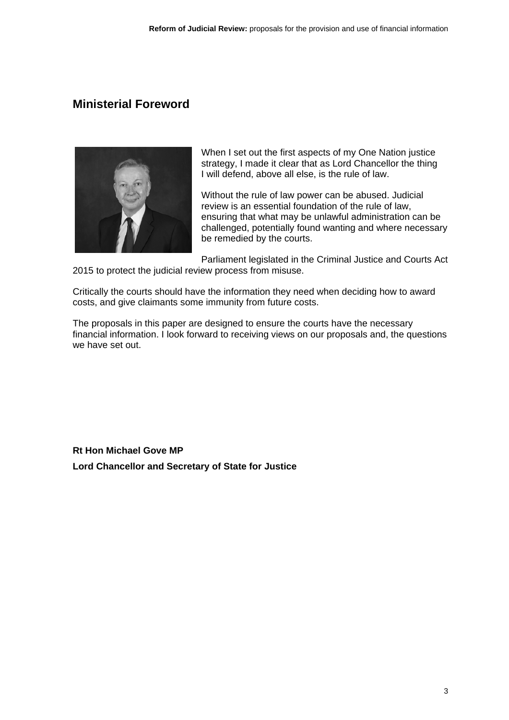## <span id="page-7-0"></span>**Ministerial Foreword**



When I set out the first aspects of my One Nation justice strategy, I made it clear that as Lord Chancellor the thing I will defend, above all else, is the rule of law.

Without the rule of law power can be abused. Judicial review is an essential foundation of the rule of law, ensuring that what may be unlawful administratio n can be challenged, potentially found wanting and where necessary be remedied by the courts.

Parliament legislated in the Criminal Justice and Courts Act 2015 to protect the judicial review process from misuse.

Critically the courts should have the information they need when deciding how to award costs, and give claimants some immunity from future costs.

The proposals in this paper are designed to ensure the courts have the necessary financial information. I look forward to receiving views on our proposals and, the questions we have set out.

**Rt Hon Michael Gove MP Lord Chancellor and Secretary of State for Justice**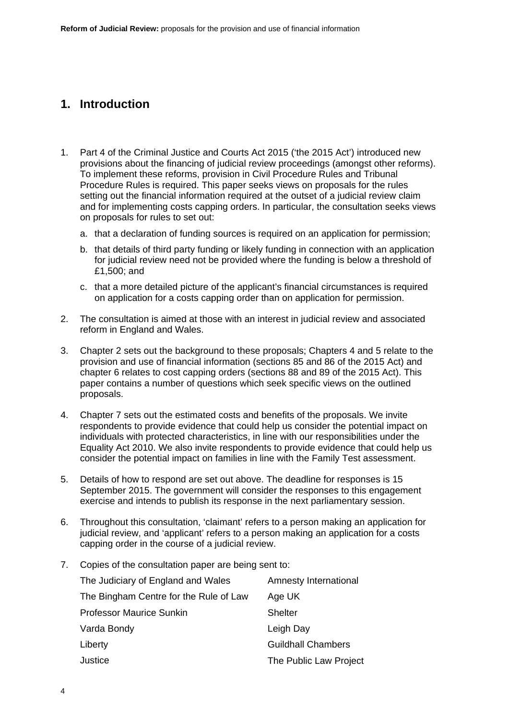### <span id="page-8-0"></span>**1. Introduction**

- 1. Part 4 of the Criminal Justice and Courts Act 2015 ('the 2015 Act') introduced new provisions about the financing of judicial review proceedings (amongst other reforms). To implement these reforms, provision in Civil Procedure Rules and Tribunal Procedure Rules is required. This paper seeks views on proposals for the rules setting out the financial information required at the outset of a judicial review claim and for implementing costs capping orders. In particular, the consultation seeks views on proposals for rules to set out:
	- a. that a declaration of funding sources is required on an application for permission;
	- b. that details of third party funding or likely funding in connection with an application for judicial review need not be provided where the funding is below a threshold of £1,500; and
	- c. that a more detailed picture of the applicant's financial circumstances is required on application for a costs capping order than on application for permission.
- 2. The consultation is aimed at those with an interest in judicial review and associated reform in England and Wales.
- 3. Chapter 2 sets out the background to these proposals; Chapters 4 and 5 relate to the provision and use of financial information (sections 85 and 86 of the 2015 Act) and chapter 6 relates to cost capping orders (sections 88 and 89 of the 2015 Act). This paper contains a number of questions which seek specific views on the outlined proposals.
- 4. Chapter 7 sets out the estimated costs and benefits of the proposals. We invite respondents to provide evidence that could help us consider the potential impact on individuals with protected characteristics, in line with our responsibilities under the Equality Act 2010. We also invite respondents to provide evidence that could help us consider the potential impact on families in line with the Family Test assessment.
- 5. Details of how to respond are set out above. The deadline for responses is 15 September 2015. The government will consider the responses to this engagement exercise and intends to publish its response in the next parliamentary session.
- 6. Throughout this consultation, 'claimant' refers to a person making an application for judicial review, and 'applicant' refers to a person making an application for a costs capping order in the course of a judicial review.
- 7. Copies of the consultation paper are being sent to:

| The Judiciary of England and Wales     | Amnesty International     |
|----------------------------------------|---------------------------|
| The Bingham Centre for the Rule of Law | Age UK                    |
| Professor Maurice Sunkin               | <b>Shelter</b>            |
| Varda Bondy                            | Leigh Day                 |
| Liberty                                | <b>Guildhall Chambers</b> |
| Justice                                | The Public Law Project    |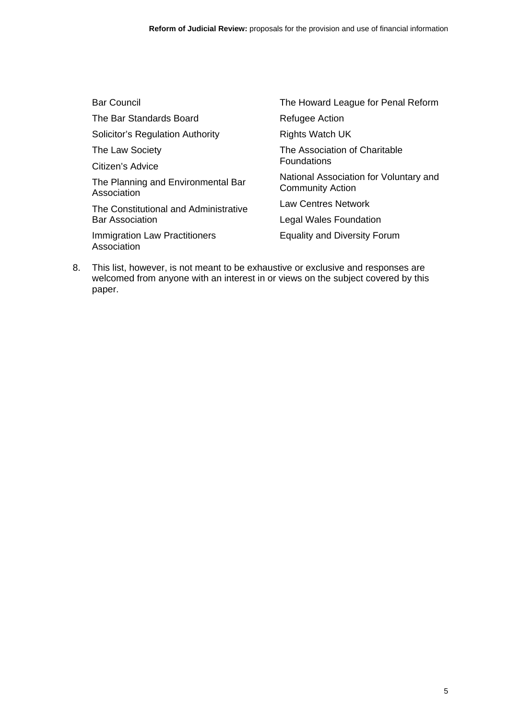| <b>Bar Council</b>                                  | The Howard League for Penal Reform                                |  |
|-----------------------------------------------------|-------------------------------------------------------------------|--|
| The Bar Standards Board                             | Refugee Action                                                    |  |
| Solicitor's Regulation Authority                    | <b>Rights Watch UK</b>                                            |  |
| The Law Society                                     | The Association of Charitable<br><b>Foundations</b>               |  |
| Citizen's Advice                                    |                                                                   |  |
| The Planning and Environmental Bar<br>Association   | National Association for Voluntary and<br><b>Community Action</b> |  |
| The Constitutional and Administrative               | Law Centres Network                                               |  |
| <b>Bar Association</b>                              | Legal Wales Foundation                                            |  |
| <b>Immigration Law Practitioners</b><br>Association | <b>Equality and Diversity Forum</b>                               |  |

8. This list, however, is not meant to be exhaustive or exclusive and responses are welcomed from anyone with an interest in or views on the subject covered by this paper.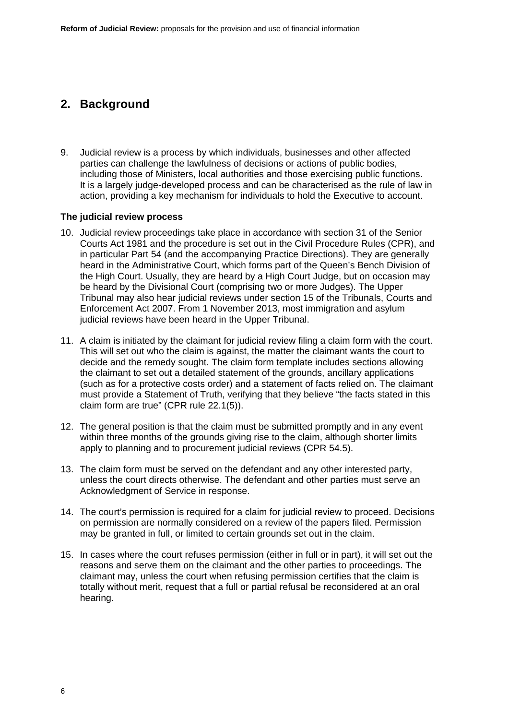## <span id="page-10-0"></span>**2. Background**

9. Judicial review is a process by which individuals, businesses and other affected parties can challenge the lawfulness of decisions or actions of public bodies, including those of Ministers, local authorities and those exercising public functions. It is a largely judge-developed process and can be characterised as the rule of law in action, providing a key mechanism for individuals to hold the Executive to account.

#### **The judicial review process**

- 10. Judicial review proceedings take place in accordance with section 31 of the Senior Courts Act 1981 and the procedure is set out in the Civil Procedure Rules (CPR), and in particular Part 54 (and the accompanying Practice Directions). They are generally heard in the Administrative Court, which forms part of the Queen's Bench Division of the High Court. Usually, they are heard by a High Court Judge, but on occasion may be heard by the Divisional Court (comprising two or more Judges). The Upper Tribunal may also hear judicial reviews under section 15 of the Tribunals, Courts and Enforcement Act 2007. From 1 November 2013, most immigration and asylum judicial reviews have been heard in the Upper Tribunal.
- 11. A claim is initiated by the claimant for judicial review filing a claim form with the court. This will set out who the claim is against, the matter the claimant wants the court to decide and the remedy sought. The claim form template includes sections allowing the claimant to set out a detailed statement of the grounds, ancillary applications (such as for a protective costs order) and a statement of facts relied on. The claimant must provide a Statement of Truth, verifying that they believe "the facts stated in this claim form are true" (CPR rule 22.1(5)).
- 12. The general position is that the claim must be submitted promptly and in any event within three months of the grounds giving rise to the claim, although shorter limits apply to planning and to procurement judicial reviews (CPR 54.5).
- 13. The claim form must be served on the defendant and any other interested party, unless the court directs otherwise. The defendant and other parties must serve an Acknowledgment of Service in response.
- 14. The court's permission is required for a claim for judicial review to proceed. Decisions on permission are normally considered on a review of the papers filed. Permission may be granted in full, or limited to certain grounds set out in the claim.
- 15. In cases where the court refuses permission (either in full or in part), it will set out the reasons and serve them on the claimant and the other parties to proceedings. The claimant may, unless the court when refusing permission certifies that the claim is totally without merit, request that a full or partial refusal be reconsidered at an oral hearing.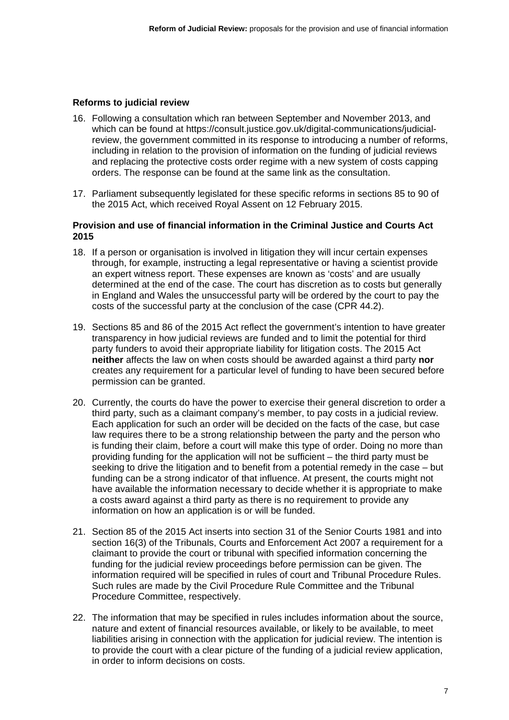#### **Reforms to judicial review**

- 16. Following a consultation which ran between September and November 2013, and which can be found at [https://consult.justice.gov.uk/digital-communications/judicial](https://consult.justice.gov.uk/digital-communications/judicial-review)[review,](https://consult.justice.gov.uk/digital-communications/judicial-review) the government committed in its response to introducing a number of reforms, including in relation to the provision of information on the funding of judicial reviews and replacing the protective costs order regime with a new system of costs capping orders. The response can be found at the same link as the consultation.
- 17. Parliament subsequently legislated for these specific reforms in sections 85 to 90 of the 2015 Act, which received Royal Assent on 12 February 2015.

#### **Provision and use of financial information in the Criminal Justice and Courts Act 2015**

- 18. If a person or organisation is involved in litigation they will incur certain expenses through, for example, instructing a legal representative or having a scientist provide an expert witness report. These expenses are known as 'costs' and are usually determined at the end of the case. The court has discretion as to costs but generally in England and Wales the unsuccessful party will be ordered by the court to pay the costs of the successful party at the conclusion of the case (CPR 44.2).
- 19. Sections 85 and 86 of the 2015 Act reflect the government's intention to have greater transparency in how judicial reviews are funded and to limit the potential for third party funders to avoid their appropriate liability for litigation costs. The 2015 Act **neither** affects the law on when costs should be awarded against a third party **nor** creates any requirement for a particular level of funding to have been secured before permission can be granted.
- 20. Currently, the courts do have the power to exercise their general discretion to order a third party, such as a claimant company's member, to pay costs in a judicial review. Each application for such an order will be decided on the facts of the case, but case law requires there to be a strong relationship between the party and the person who is funding their claim, before a court will make this type of order. Doing no more than providing funding for the application will not be sufficient – the third party must be seeking to drive the litigation and to benefit from a potential remedy in the case – but funding can be a strong indicator of that influence. At present, the courts might not have available the information necessary to decide whether it is appropriate to make a costs award against a third party as there is no requirement to provide any information on how an application is or will be funded.
- 21. Section 85 of the 2015 Act inserts into section 31 of the Senior Courts 1981 and into section 16(3) of the Tribunals, Courts and Enforcement Act 2007 a requirement for a claimant to provide the court or tribunal with specified information concerning the funding for the judicial review proceedings before permission can be given. The information required will be specified in rules of court and Tribunal Procedure Rules. Such rules are made by the Civil Procedure Rule Committee and the Tribunal Procedure Committee, respectively.
- 22. The information that may be specified in rules includes information about the source, nature and extent of financial resources available, or likely to be available, to meet liabilities arising in connection with the application for judicial review. The intention is to provide the court with a clear picture of the funding of a judicial review application, in order to inform decisions on costs.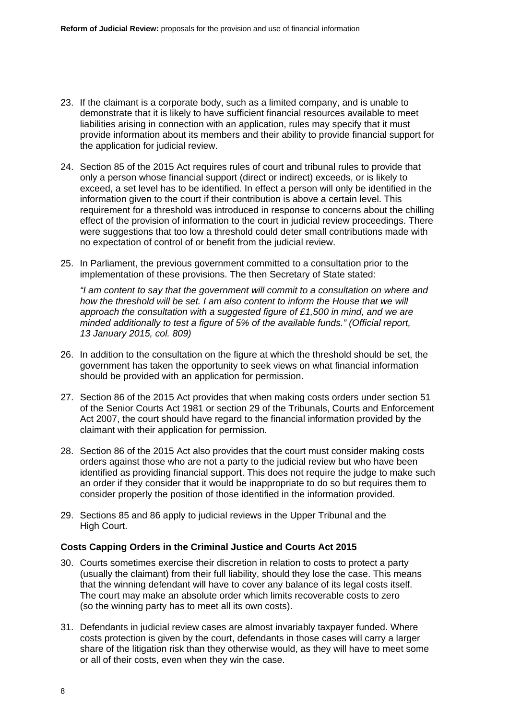- 23. If the claimant is a corporate body, such as a limited company, and is unable to demonstrate that it is likely to have sufficient financial resources available to meet liabilities arising in connection with an application, rules may specify that it must provide information about its members and their ability to provide financial support for the application for judicial review.
- 24. Section 85 of the 2015 Act requires rules of court and tribunal rules to provide that only a person whose financial support (direct or indirect) exceeds, or is likely to exceed, a set level has to be identified. In effect a person will only be identified in the information given to the court if their contribution is above a certain level. This requirement for a threshold was introduced in response to concerns about the chilling effect of the provision of information to the court in judicial review proceedings. There were suggestions that too low a threshold could deter small contributions made with no expectation of control of or benefit from the judicial review.
- 25. In Parliament, the previous government committed to a consultation prior to the implementation of these provisions. The then Secretary of State stated:

*"I am content to say that the government will commit to a consultation on where and how the threshold will be set. I am also content to inform the House that we will approach the consultation with a suggested figure of £1,500 in mind, and we are minded additionally to test a figure of 5% of the available funds." (Official report, 13 January 2015, col. 809)* 

- 26. In addition to the consultation on the figure at which the threshold should be set, the government has taken the opportunity to seek views on what financial information should be provided with an application for permission.
- 27. Section 86 of the 2015 Act provides that when making costs orders under section 51 of the Senior Courts Act 1981 or section 29 of the Tribunals, Courts and Enforcement Act 2007, the court should have regard to the financial information provided by the claimant with their application for permission.
- 28. Section 86 of the 2015 Act also provides that the court must consider making costs orders against those who are not a party to the judicial review but who have been identified as providing financial support. This does not require the judge to make such an order if they consider that it would be inappropriate to do so but requires them to consider properly the position of those identified in the information provided.
- 29. Sections 85 and 86 apply to judicial reviews in the Upper Tribunal and the High Court.

#### **Costs Capping Orders in the Criminal Justice and Courts Act 2015**

- 30. Courts sometimes exercise their discretion in relation to costs to protect a party (usually the claimant) from their full liability, should they lose the case. This means that the winning defendant will have to cover any balance of its legal costs itself. The court may make an absolute order which limits recoverable costs to zero (so the winning party has to meet all its own costs).
- 31. Defendants in judicial review cases are almost invariably taxpayer funded. Where costs protection is given by the court, defendants in those cases will carry a larger share of the litigation risk than they otherwise would, as they will have to meet some or all of their costs, even when they win the case.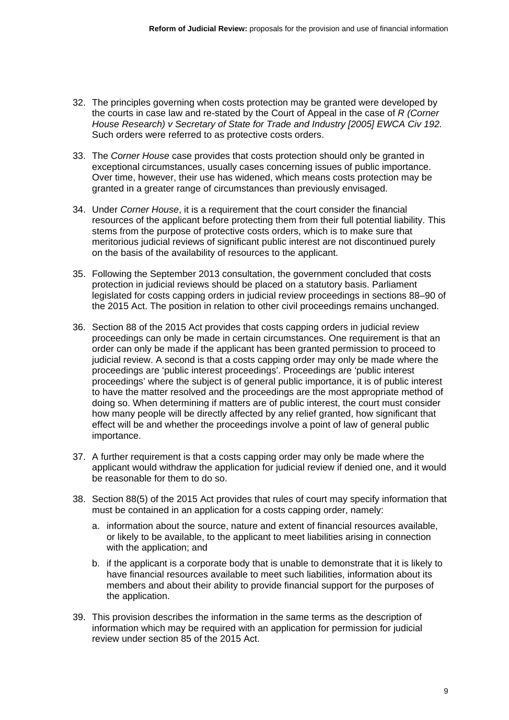- 32. The principles governing when costs protection may be granted were developed by the courts in case law and re-stated by the Court of Appeal in the case of *R (Corner House Research) v Secretary of State for Trade and Industry [2005] EWCA Civ 192.* Such orders were referred to as protective costs orders.
- 33. The *Corner House* case provides that costs protection should only be granted in exceptional circumstances, usually cases concerning issues of public importance. Over time, however, their use has widened, which means costs protection may be granted in a greater range of circumstances than previously envisaged.
- 34. Under *Corner House*, it is a requirement that the court consider the financial resources of the applicant before protecting them from their full potential liability. This stems from the purpose of protective costs orders, which is to make sure that meritorious judicial reviews of significant public interest are not discontinued purely on the basis of the availability of resources to the applicant.
- 35. Following the September 2013 consultation, the government concluded that costs protection in judicial reviews should be placed on a statutory basis. Parliament legislated for costs capping orders in judicial review proceedings in sections 88–90 of the 2015 Act. The position in relation to other civil proceedings remains unchanged.
- 36. Section 88 of the 2015 Act provides that costs capping orders in judicial review proceedings can only be made in certain circumstances. One requirement is that an order can only be made if the applicant has been granted permission to proceed to judicial review. A second is that a costs capping order may only be made where the proceedings are 'public interest proceedings'. Proceedings are 'public interest proceedings' where the subject is of general public importance, it is of public interest to have the matter resolved and the proceedings are the most appropriate method of doing so. When determining if matters are of public interest, the court must consider how many people will be directly affected by any relief granted, how significant that effect will be and whether the proceedings involve a point of law of general public importance.
- 37. A further requirement is that a costs capping order may only be made where the applicant would withdraw the application for judicial review if denied one, and it would be reasonable for them to do so.
- 38. Section 88(5) of the 2015 Act provides that rules of court may specify information that must be contained in an application for a costs capping order, namely:
	- a. information about the source, nature and extent of financial resources available, or likely to be available, to the applicant to meet liabilities arising in connection with the application; and
	- b. if the applicant is a corporate body that is unable to demonstrate that it is likely to have financial resources available to meet such liabilities, information about its members and about their ability to provide financial support for the purposes of the application.
- 39. This provision describes the information in the same terms as the description of information which may be required with an application for permission for judicial review under section 85 of the 2015 Act.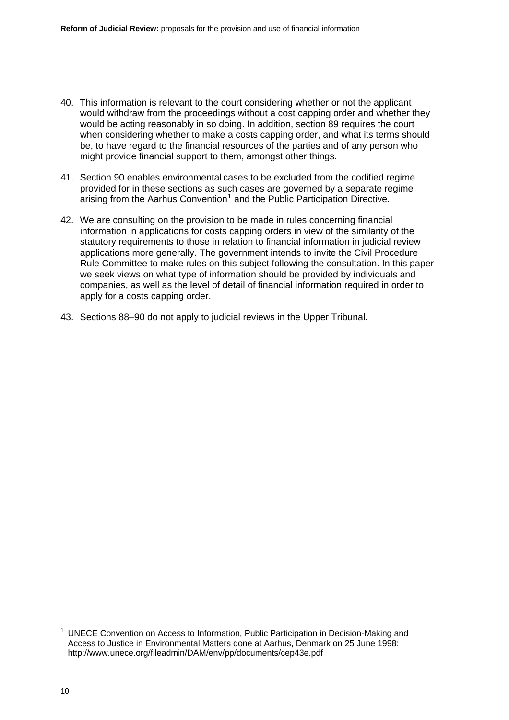- 40. This information is relevant to the court considering whether or not the applicant would withdraw from the proceedings without a cost capping order and whether they would be acting reasonably in so doing. In addition, section 89 requires the court when considering whether to make a costs capping order, and what its terms should be, to have regard to the financial resources of the parties and of any person who might provide financial support to them, amongst other things.
- 41. Section 90 enables environmental cases to be excluded from the codified regime provided for in these sections as such cases are governed by a separate regime arising from the Aarhus Convention<sup>[1](#page-14-0)</sup> and the Public Participation Directive.
- 42. We are consulting on the provision to be made in rules concerning financial information in applications for costs capping orders in view of the similarity of the statutory requirements to those in relation to financial information in judicial review applications more generally. The government intends to invite the Civil Procedure Rule Committee to make rules on this subject following the consultation. In this paper we seek views on what type of information should be provided by individuals and companies, as well as the level of detail of financial information required in order to apply for a costs capping order.
- 43. Sections 88–90 do not apply to judicial reviews in the Upper Tribunal.

-

<span id="page-14-0"></span><sup>&</sup>lt;sup>1</sup> UNECE Convention on Access to Information, Public Participation in Decision-Making and Access to Justice in Environmental Matters done at Aarhus, Denmark on 25 June 1998: http:/[/www.unece.org/fileadmin/DAM/env/pp/documents/cep43e.pdf](http://www.unece.org/fileadmin/DAM/env/pp/documents/cep43e.pdf)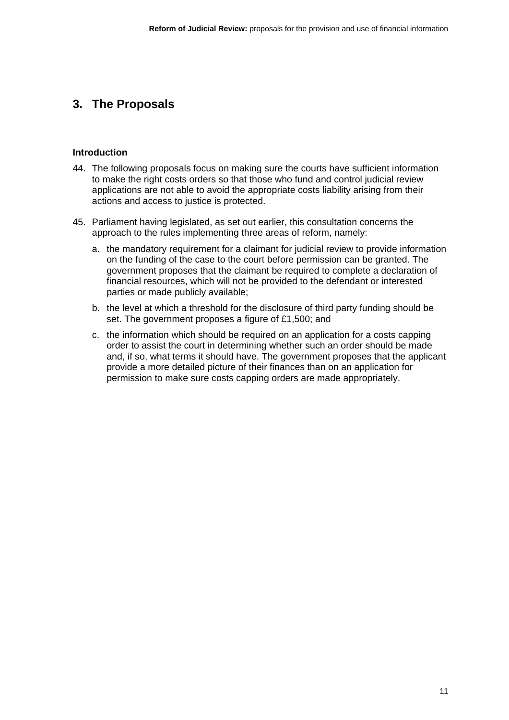## <span id="page-15-0"></span>**3. The Proposals**

#### **Introduction**

- 44. The following proposals focus on making sure the courts have sufficient information to make the right costs orders so that those who fund and control judicial review applications are not able to avoid the appropriate costs liability arising from their actions and access to justice is protected.
- 45. Parliament having legislated, as set out earlier, this consultation concerns the approach to the rules implementing three areas of reform, namely:
	- a. the mandatory requirement for a claimant for judicial review to provide information on the funding of the case to the court before permission can be granted. The government proposes that the claimant be required to complete a declaration of financial resources, which will not be provided to the defendant or interested parties or made publicly available;
	- b. the level at which a threshold for the disclosure of third party funding should be set. The government proposes a figure of £1,500; and
	- c. the information which should be required on an application for a costs capping order to assist the court in determining whether such an order should be made and, if so, what terms it should have. The government proposes that the applicant provide a more detailed picture of their finances than on an application for permission to make sure costs capping orders are made appropriately.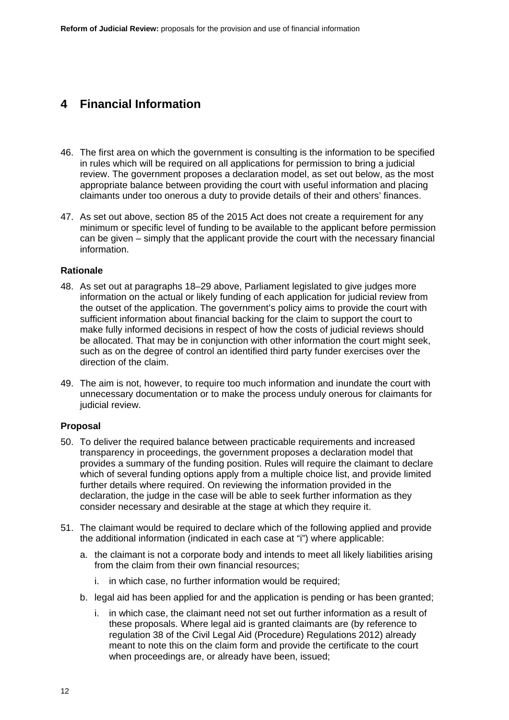## <span id="page-16-0"></span>**4 Financial Information**

- 46. The first area on which the government is consulting is the information to be specified in rules which will be required on all applications for permission to bring a judicial review. The government proposes a declaration model, as set out below, as the most appropriate balance between providing the court with useful information and placing claimants under too onerous a duty to provide details of their and others' finances.
- 47. As set out above, section 85 of the 2015 Act does not create a requirement for any minimum or specific level of funding to be available to the applicant before permission can be given – simply that the applicant provide the court with the necessary financial information.

#### **Rationale**

- 48. As set out at paragraphs 18–29 above, Parliament legislated to give judges more information on the actual or likely funding of each application for judicial review from the outset of the application. The government's policy aims to provide the court with sufficient information about financial backing for the claim to support the court to make fully informed decisions in respect of how the costs of judicial reviews should be allocated. That may be in conjunction with other information the court might seek, such as on the degree of control an identified third party funder exercises over the direction of the claim.
- 49. The aim is not, however, to require too much information and inundate the court with unnecessary documentation or to make the process unduly onerous for claimants for judicial review.

#### **Proposal**

- 50. To deliver the required balance between practicable requirements and increased transparency in proceedings, the government proposes a declaration model that provides a summary of the funding position. Rules will require the claimant to declare which of several funding options apply from a multiple choice list, and provide limited further details where required. On reviewing the information provided in the declaration, the judge in the case will be able to seek further information as they consider necessary and desirable at the stage at which they require it.
- 51. The claimant would be required to declare which of the following applied and provide the additional information (indicated in each case at "i") where applicable:
	- a. the claimant is not a corporate body and intends to meet all likely liabilities arising from the claim from their own financial resources;
		- i. in which case, no further information would be required;
	- b. legal aid has been applied for and the application is pending or has been granted;
		- i. in which case, the claimant need not set out further information as a result of these proposals. Where legal aid is granted claimants are (by reference to regulation 38 of the Civil Legal Aid (Procedure) Regulations 2012) already meant to note this on the claim form and provide the certificate to the court when proceedings are, or already have been, issued;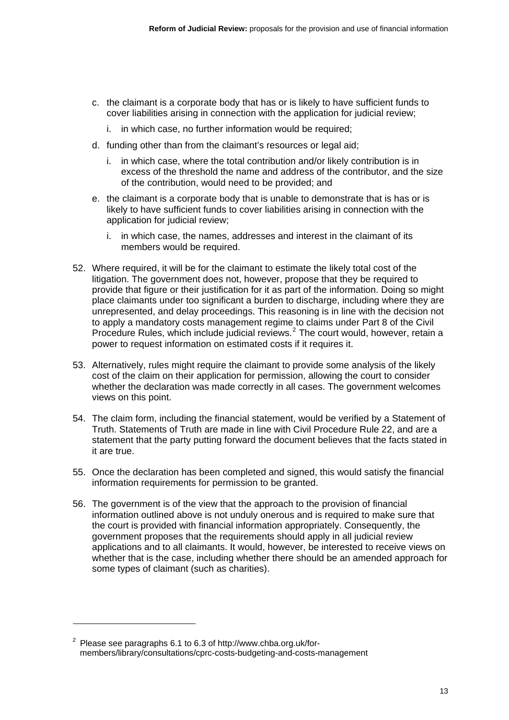- c. the claimant is a corporate body that has or is likely to have sufficient funds to cover liabilities arising in connection with the application for judicial review;
	- i. in which case, no further information would be required;
- d. funding other than from the claimant's resources or legal aid;
	- i. in which case, where the total contribution and/or likely contribution is in excess of the threshold the name and address of the contributor, and the size of the contribution, would need to be provided; and
- e. the claimant is a corporate body that is unable to demonstrate that is has or is likely to have sufficient funds to cover liabilities arising in connection with the application for judicial review;
	- i. in which case, the names, addresses and interest in the claimant of its members would be required.
- 52. Where required, it will be for the claimant to estimate the likely total cost of the litigation. The government does not, however, propose that they be required to provide that figure or their justification for it as part of the information. Doing so might place claimants under too significant a burden to discharge, including where they are unrepresented, and delay proceedings. This reasoning is in line with the decision not to apply a mandatory costs management regime to claims under Part 8 of the Civil Procedure Rules, which include judicial reviews.<sup>[2](#page-17-0)</sup> The court would, however, retain a power to request information on estimated costs if it requires it.
- 53. Alternatively, rules might require the claimant to provide some analysis of the likely cost of the claim on their application for permission, allowing the court to consider whether the declaration was made correctly in all cases. The government welcomes views on this point.
- 54. The claim form, including the financial statement, would be verified by a Statement of Truth. Statements of Truth are made in line with Civil Procedure Rule 22, and are a statement that the party putting forward the document believes that the facts stated in it are true.
- 55. Once the declaration has been completed and signed, this would satisfy the financial information requirements for permission to be granted.
- 56. The government is of the view that the approach to the provision of financial information outlined above is not unduly onerous and is required to make sure that the court is provided with financial information appropriately. Consequently, the government proposes that the requirements should apply in all judicial review applications and to all claimants. It would, however, be interested to receive views on whether that is the case, including whether there should be an amended approach for some types of claimant (such as charities).

1

<span id="page-17-0"></span> $2$  Please see paragraphs 6.1 to 6.3 of [http://www.chba.org.uk/for](http://www.chba.org.uk/for-members/library/consultations/cprc-costs-budgeting-and-costs-management)[members/library/consultations/cprc-costs-budgeting-and-costs-management](http://www.chba.org.uk/for-members/library/consultations/cprc-costs-budgeting-and-costs-management)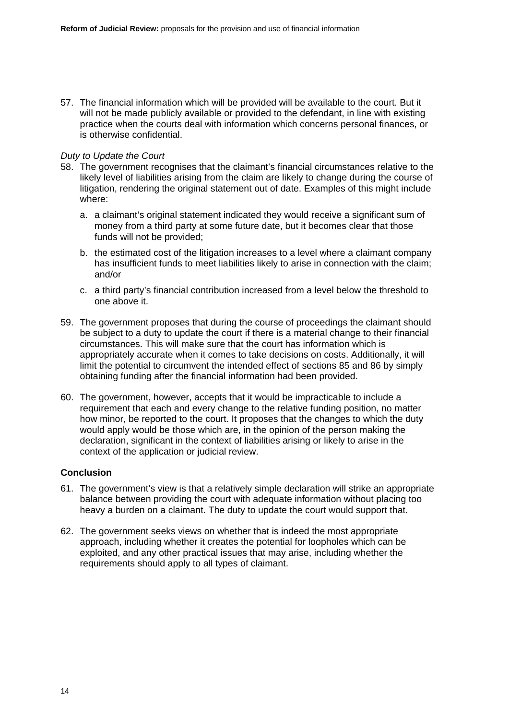57. The financial information which will be provided will be available to the court. But it will not be made publicly available or provided to the defendant, in line with existing practice when the courts deal with information which concerns personal finances, or is otherwise confidential.

#### *Duty to Update the Court*

- 58. The government recognises that the claimant's financial circumstances relative to the likely level of liabilities arising from the claim are likely to change during the course of litigation, rendering the original statement out of date. Examples of this might include where:
	- a. a claimant's original statement indicated they would receive a significant sum of money from a third party at some future date, but it becomes clear that those funds will not be provided;
	- b. the estimated cost of the litigation increases to a level where a claimant company has insufficient funds to meet liabilities likely to arise in connection with the claim; and/or
	- c. a third party's financial contribution increased from a level below the threshold to one above it.
- 59. The government proposes that during the course of proceedings the claimant should be subject to a duty to update the court if there is a material change to their financial circumstances. This will make sure that the court has information which is appropriately accurate when it comes to take decisions on costs. Additionally, it will limit the potential to circumvent the intended effect of sections 85 and 86 by simply obtaining funding after the financial information had been provided.
- 60. The government, however, accepts that it would be impracticable to include a requirement that each and every change to the relative funding position, no matter how minor, be reported to the court. It proposes that the changes to which the duty would apply would be those which are, in the opinion of the person making the declaration, significant in the context of liabilities arising or likely to arise in the context of the application or judicial review.

#### **Conclusion**

- 61. The government's view is that a relatively simple declaration will strike an appropriate balance between providing the court with adequate information without placing too heavy a burden on a claimant. The duty to update the court would support that.
- 62. The government seeks views on whether that is indeed the most appropriate approach, including whether it creates the potential for loopholes which can be exploited, and any other practical issues that may arise, including whether the requirements should apply to all types of claimant.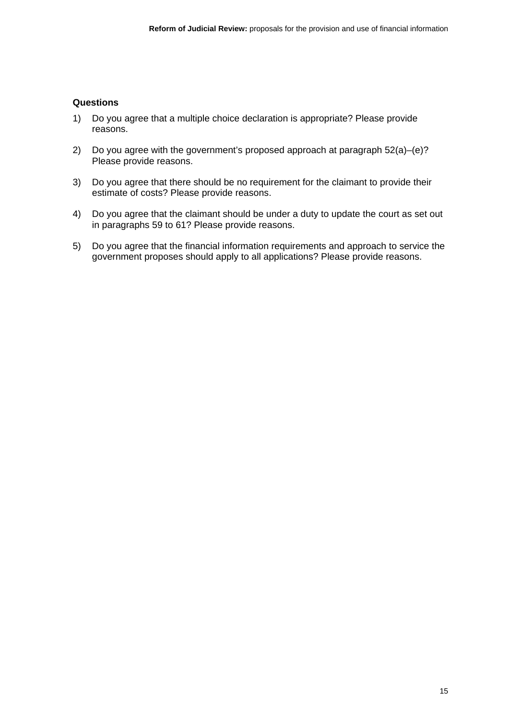#### **Questions**

- 1) Do you agree that a multiple choice declaration is appropriate? Please provide reasons.
- 2) Do you agree with the government's proposed approach at paragraph 52(a)–(e)? Please provide reasons.
- 3) Do you agree that there should be no requirement for the claimant to provide their estimate of costs? Please provide reasons.
- 4) Do you agree that the claimant should be under a duty to update the court as set out in paragraphs 59 to 61? Please provide reasons.
- 5) Do you agree that the financial information requirements and approach to service the government proposes should apply to all applications? Please provide reasons.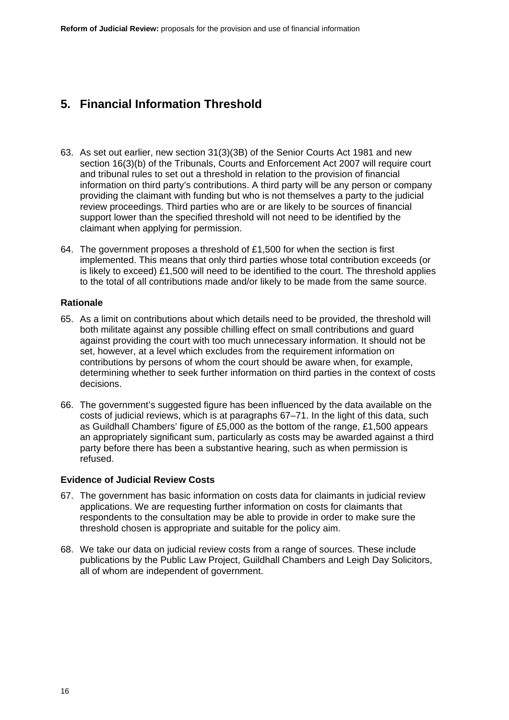## <span id="page-20-0"></span>**5. Financial Information Threshold**

- 63. As set out earlier, new section 31(3)(3B) of the Senior Courts Act 1981 and new section 16(3)(b) of the Tribunals, Courts and Enforcement Act 2007 will require court and tribunal rules to set out a threshold in relation to the provision of financial information on third party's contributions. A third party will be any person or company providing the claimant with funding but who is not themselves a party to the judicial review proceedings. Third parties who are or are likely to be sources of financial support lower than the specified threshold will not need to be identified by the claimant when applying for permission.
- 64. The government proposes a threshold of £1,500 for when the section is first implemented. This means that only third parties whose total contribution exceeds (or is likely to exceed) £1,500 will need to be identified to the court. The threshold applies to the total of all contributions made and/or likely to be made from the same source.

#### **Rationale**

- 65. As a limit on contributions about which details need to be provided, the threshold will both militate against any possible chilling effect on small contributions and guard against providing the court with too much unnecessary information. It should not be set, however, at a level which excludes from the requirement information on contributions by persons of whom the court should be aware when, for example, determining whether to seek further information on third parties in the context of costs decisions.
- 66. The government's suggested figure has been influenced by the data available on the costs of judicial reviews, which is at paragraphs 67–71. In the light of this data, such as Guildhall Chambers' figure of £5,000 as the bottom of the range, £1,500 appears an appropriately significant sum, particularly as costs may be awarded against a third party before there has been a substantive hearing, such as when permission is refused.

#### **Evidence of Judicial Review Costs**

- 67. The government has basic information on costs data for claimants in judicial review applications. We are requesting further information on costs for claimants that respondents to the consultation may be able to provide in order to make sure the threshold chosen is appropriate and suitable for the policy aim.
- 68. We take our data on judicial review costs from a range of sources. These include publications by the Public Law Project, Guildhall Chambers and Leigh Day Solicitors, all of whom are independent of government.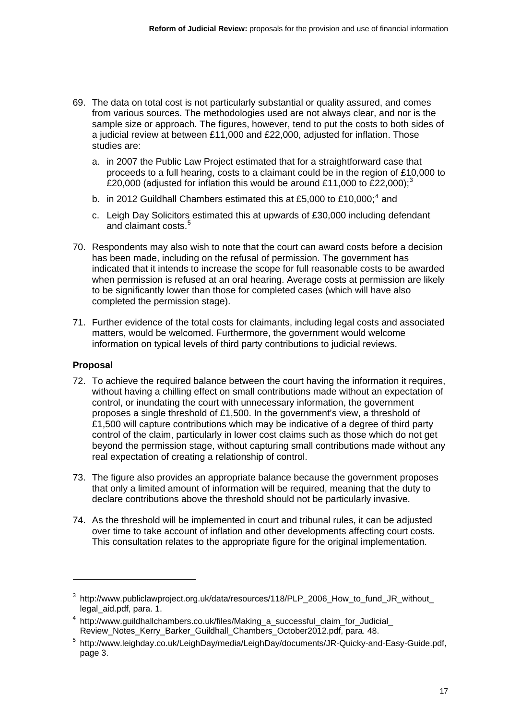- 69. The data on total cost is not particularly substantial or quality assured, and comes from various sources. The methodologies used are not always clear, and nor is the sample size or approach. The figures, however, tend to put the costs to both sides of a judicial review at between £11,000 and £22,000, adjusted for inflation. Those studies are:
	- a. in 2007 the Public Law Project estimated that for a straightforward case that proceeds to a full hearing, costs to a claimant could be in the region of £10,000 to £20,000 (adjusted for inflation this would be around £11,000 to £22,000);<sup>[3](#page-21-0)</sup>
	- b. in 2012 Guildhall Chambers estimated this at £5,000 to £10,000;<sup>[4](#page-21-1)</sup> and
	- c. Leigh Day Solicitors estimated this at upwards of £30,000 including defendant and claimant costs.<sup>[5](#page-21-2)</sup>
- 70. Respondents may also wish to note that the court can award costs before a decision has been made, including on the refusal of permission. The government has indicated that it intends to increase the scope for full reasonable costs to be awarded when permission is refused at an oral hearing. Average costs at permission are likely to be significantly lower than those for completed cases (which will have also completed the permission stage).
- 71. Further evidence of the total costs for claimants, including legal costs and associated matters, would be welcomed. Furthermore, the government would welcome information on typical levels of third party contributions to judicial reviews.

#### **Proposal**

1

- 72. To achieve the required balance between the court having the information it requires, without having a chilling effect on small contributions made without an expectation of control, or inundating the court with unnecessary information, the government proposes a single threshold of £1,500. In the government's view, a threshold of £1,500 will capture contributions which may be indicative of a degree of third party control of the claim, particularly in lower cost claims such as those which do not get beyond the permission stage, without capturing small contributions made without any real expectation of creating a relationship of control.
- 73. The figure also provides an appropriate balance because the government proposes that only a limited amount of information will be required, meaning that the duty to declare contributions above the threshold should not be particularly invasive.
- 74. As the threshold will be implemented in court and tribunal rules, it can be adjusted over time to take account of inflation and other developments affecting court costs. This consultation relates to the appropriate figure for the original implementation.

<span id="page-21-0"></span><sup>&</sup>lt;sup>3</sup> http://www.publiclawproject.org.uk/data/resources/118/PLP\_2006\_How\_to\_fund\_JR\_without legal aid.pdf, para. 1.

<span id="page-21-1"></span><sup>&</sup>lt;sup>4</sup> http://www.quildhallchambers.co.uk/files/Making a successful claim for Judicial [Review\\_Notes\\_Kerry\\_Barker\\_Guildhall\\_Chambers\\_October2012.pdf,](http://www.guildhallchambers.co.uk/files/Making_a_successful_claim_for_Judicial_%0BReview_Notes_Kerry_Barker_Guildhall_Chambers_October2012.pdf) para. 48.

<span id="page-21-2"></span><sup>5</sup> [http://www.leighday.co.uk/LeighDay/media/LeighDay/documents/JR-Quicky-and-Easy-Guide.pdf,](http://www.leighday.co.uk/LeighDay/media/LeighDay/documents/JR-Quicky-and-Easy-Guide.pdf) page 3.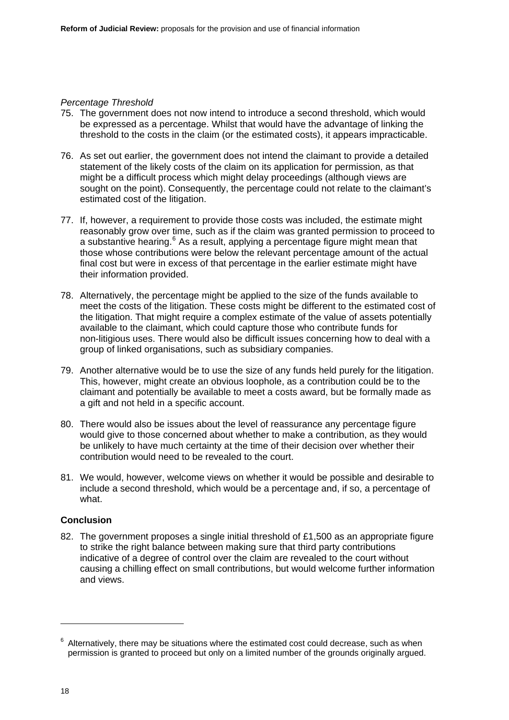#### *Percentage Threshold*

- 75. The government does not now intend to introduce a second threshold, which would be expressed as a percentage. Whilst that would have the advantage of linking the threshold to the costs in the claim (or the estimated costs), it appears impracticable.
- 76. As set out earlier, the government does not intend the claimant to provide a detailed statement of the likely costs of the claim on its application for permission, as that might be a difficult process which might delay proceedings (although views are sought on the point). Consequently, the percentage could not relate to the claimant's estimated cost of the litigation.
- 77. If, however, a requirement to provide those costs was included, the estimate might reasonably grow over time, such as if the claim was granted permission to proceed to a substantive hearing. $6$  As a result, applying a percentage figure might mean that those whose contributions were below the relevant percentage amount of the actual final cost but were in excess of that percentage in the earlier estimate might have their information provided.
- 78. Alternatively, the percentage might be applied to the size of the funds available to meet the costs of the litigation. These costs might be different to the estimated cost of the litigation. That might require a complex estimate of the value of assets potentially available to the claimant, which could capture those who contribute funds for non-litigious uses. There would also be difficult issues concerning how to deal with a group of linked organisations, such as subsidiary companies.
- 79. Another alternative would be to use the size of any funds held purely for the litigation. This, however, might create an obvious loophole, as a contribution could be to the claimant and potentially be available to meet a costs award, but be formally made as a gift and not held in a specific account.
- 80. There would also be issues about the level of reassurance any percentage figure would give to those concerned about whether to make a contribution, as they would be unlikely to have much certainty at the time of their decision over whether their contribution would need to be revealed to the court.
- 81. We would, however, welcome views on whether it would be possible and desirable to include a second threshold, which would be a percentage and, if so, a percentage of what.

#### **Conclusion**

82. The government proposes a single initial threshold of £1,500 as an appropriate figure to strike the right balance between making sure that third party contributions indicative of a degree of control over the claim are revealed to the court without causing a chilling effect on small contributions, but would welcome further information and views.

-

<span id="page-22-0"></span> $6$  Alternatively, there may be situations where the estimated cost could decrease, such as when permission is granted to proceed but only on a limited number of the grounds originally argued.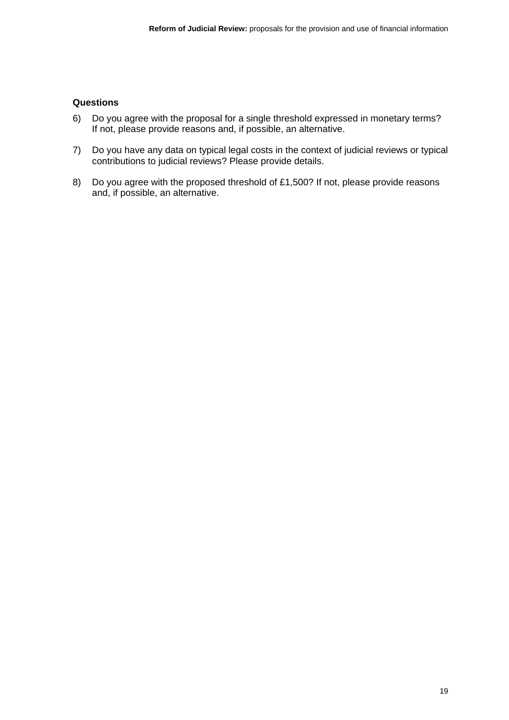#### **Questions**

- 6) Do you agree with the proposal for a single threshold expressed in monetary terms? If not, please provide reasons and, if possible, an alternative.
- 7) Do you have any data on typical legal costs in the context of judicial reviews or typical contributions to judicial reviews? Please provide details.
- 8) Do you agree with the proposed threshold of £1,500? If not, please provide reasons and, if possible, an alternative.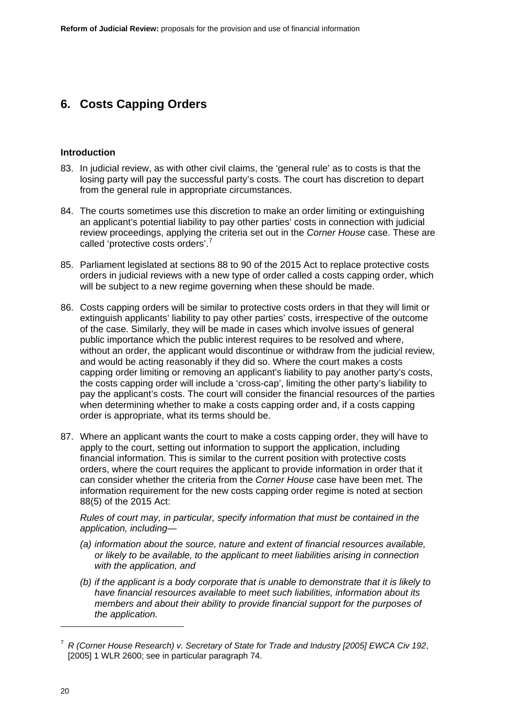## <span id="page-24-0"></span>**6. Costs Capping Orders**

#### **Introduction**

- 83. In judicial review, as with other civil claims, the 'general rule' as to costs is that the losing party will pay the successful party's costs. The court has discretion to depart from the general rule in appropriate circumstances.
- 84. The courts sometimes use this discretion to make an order limiting or extinguishing an applicant's potential liability to pay other parties' costs in connection with judicial review proceedings, applying the criteria set out in the *Corner House* case. These are called 'protective costs orders'.<sup>[7](#page-24-1)</sup>
- 85. Parliament legislated at sections 88 to 90 of the 2015 Act to replace protective costs orders in judicial reviews with a new type of order called a costs capping order, which will be subject to a new regime governing when these should be made.
- 86. Costs capping orders will be similar to protective costs orders in that they will limit or extinguish applicants' liability to pay other parties' costs, irrespective of the outcome of the case. Similarly, they will be made in cases which involve issues of general public importance which the public interest requires to be resolved and where, without an order, the applicant would discontinue or withdraw from the judicial review, and would be acting reasonably if they did so. Where the court makes a costs capping order limiting or removing an applicant's liability to pay another party's costs, the costs capping order will include a 'cross-cap', limiting the other party's liability to pay the applicant's costs. The court will consider the financial resources of the parties when determining whether to make a costs capping order and, if a costs capping order is appropriate, what its terms should be.
- 87. Where an applicant wants the court to make a costs capping order, they will have to apply to the court, setting out information to support the application, including financial information. This is similar to the current position with protective costs orders, where the court requires the applicant to provide information in order that it can consider whether the criteria from the *Corner House* case have been met. The information requirement for the new costs capping order regime is noted at section 88(5) of the 2015 Act:

*Rules of court may, in particular, specify information that must be contained in the application, including—* 

- *(a) information about the source, nature and extent of financial resources available, or likely to be available, to the applicant to meet liabilities arising in connection with the application, and*
- *(b) if the applicant is a body corporate that is unable to demonstrate that it is likely to have financial resources available to meet such liabilities, information about its members and about their ability to provide financial support for the purposes of the application.*

-

<span id="page-24-1"></span><sup>7</sup> *R (Corner House Research) v. Secretary of State for Trade and Industry [2005] EWCA Civ 192*, [2005] 1 WLR 2600; see in particular paragraph 74.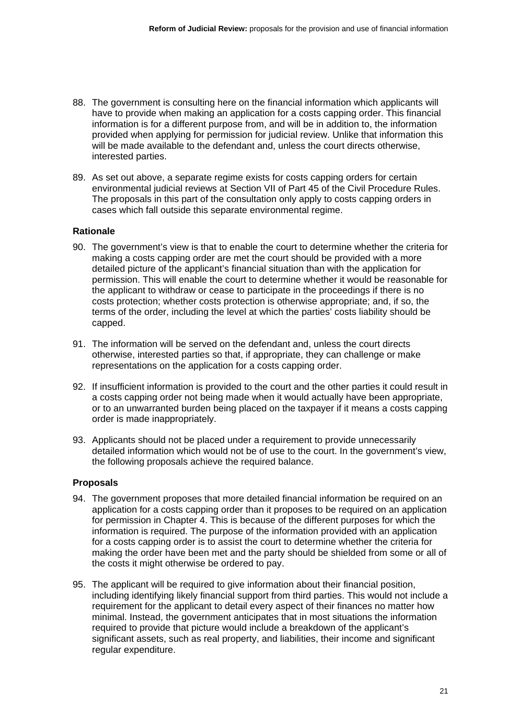- 88. The government is consulting here on the financial information which applicants will have to provide when making an application for a costs capping order. This financial information is for a different purpose from, and will be in addition to, the information provided when applying for permission for judicial review. Unlike that information this will be made available to the defendant and, unless the court directs otherwise, interested parties.
- 89. As set out above, a separate regime exists for costs capping orders for certain environmental judicial reviews at Section VII of Part 45 of the Civil Procedure Rules. The proposals in this part of the consultation only apply to costs capping orders in cases which fall outside this separate environmental regime.

#### **Rationale**

- 90. The government's view is that to enable the court to determine whether the criteria for making a costs capping order are met the court should be provided with a more detailed picture of the applicant's financial situation than with the application for permission. This will enable the court to determine whether it would be reasonable for the applicant to withdraw or cease to participate in the proceedings if there is no costs protection; whether costs protection is otherwise appropriate; and, if so, the terms of the order, including the level at which the parties' costs liability should be capped.
- 91. The information will be served on the defendant and, unless the court directs otherwise, interested parties so that, if appropriate, they can challenge or make representations on the application for a costs capping order.
- 92. If insufficient information is provided to the court and the other parties it could result in a costs capping order not being made when it would actually have been appropriate, or to an unwarranted burden being placed on the taxpayer if it means a costs capping order is made inappropriately.
- 93. Applicants should not be placed under a requirement to provide unnecessarily detailed information which would not be of use to the court. In the government's view, the following proposals achieve the required balance.

#### **Proposals**

- 94. The government proposes that more detailed financial information be required on an application for a costs capping order than it proposes to be required on an application for permission in Chapter 4. This is because of the different purposes for which the information is required. The purpose of the information provided with an application for a costs capping order is to assist the court to determine whether the criteria for making the order have been met and the party should be shielded from some or all of the costs it might otherwise be ordered to pay.
- 95. The applicant will be required to give information about their financial position, including identifying likely financial support from third parties. This would not include a requirement for the applicant to detail every aspect of their finances no matter how minimal. Instead, the government anticipates that in most situations the information required to provide that picture would include a breakdown of the applicant's significant assets, such as real property, and liabilities, their income and significant regular expenditure.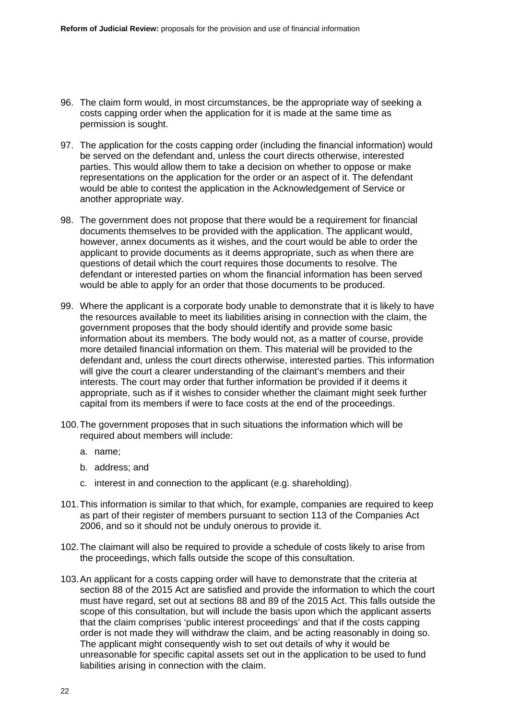- 96. The claim form would, in most circumstances, be the appropriate way of seeking a costs capping order when the application for it is made at the same time as permission is sought.
- 97. The application for the costs capping order (including the financial information) would be served on the defendant and, unless the court directs otherwise, interested parties. This would allow them to take a decision on whether to oppose or make representations on the application for the order or an aspect of it. The defendant would be able to contest the application in the Acknowledgement of Service or another appropriate way.
- 98. The government does not propose that there would be a requirement for financial documents themselves to be provided with the application. The applicant would, however, annex documents as it wishes, and the court would be able to order the applicant to provide documents as it deems appropriate, such as when there are questions of detail which the court requires those documents to resolve. The defendant or interested parties on whom the financial information has been served would be able to apply for an order that those documents to be produced.
- 99. Where the applicant is a corporate body unable to demonstrate that it is likely to have the resources available to meet its liabilities arising in connection with the claim, the government proposes that the body should identify and provide some basic information about its members. The body would not, as a matter of course, provide more detailed financial information on them. This material will be provided to the defendant and, unless the court directs otherwise, interested parties. This information will give the court a clearer understanding of the claimant's members and their interests. The court may order that further information be provided if it deems it appropriate, such as if it wishes to consider whether the claimant might seek further capital from its members if were to face costs at the end of the proceedings.
- 100. The government proposes that in such situations the information which will be required about members will include:
	- a. name;
	- b. address; and
	- c. interest in and connection to the applicant (e.g. shareholding).
- 101. This information is similar to that which, for example, companies are required to keep as part of their register of members pursuant to section 113 of the Companies Act 2006, and so it should not be unduly onerous to provide it.
- 102. The claimant will also be required to provide a schedule of costs likely to arise from the proceedings, which falls outside the scope of this consultation.
- 103. An applicant for a costs capping order will have to demonstrate that the criteria at section 88 of the 2015 Act are satisfied and provide the information to which the court must have regard, set out at sections 88 and 89 of the 2015 Act. This falls outside the scope of this consultation, but will include the basis upon which the applicant asserts that the claim comprises 'public interest proceedings' and that if the costs capping order is not made they will withdraw the claim, and be acting reasonably in doing so. The applicant might consequently wish to set out details of why it would be unreasonable for specific capital assets set out in the application to be used to fund liabilities arising in connection with the claim.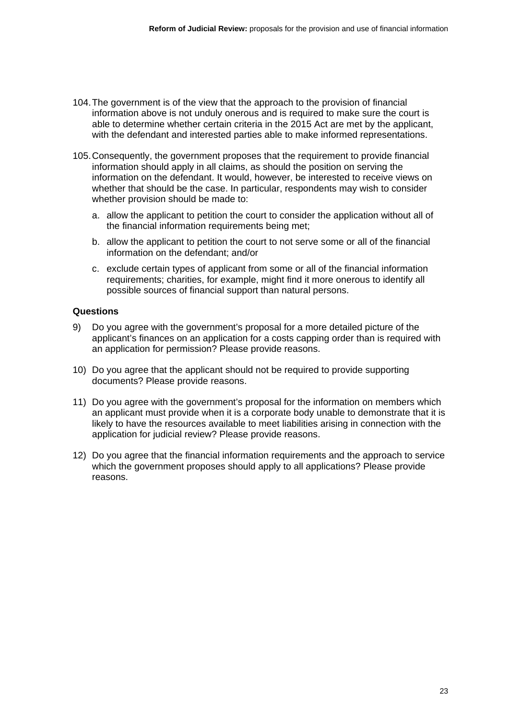- 104. The government is of the view that the approach to the provision of financial information above is not unduly onerous and is required to make sure the court is able to determine whether certain criteria in the 2015 Act are met by the applicant, with the defendant and interested parties able to make informed representations.
- 105. Consequently, the government proposes that the requirement to provide financial information should apply in all claims, as should the position on serving the information on the defendant. It would, however, be interested to receive views on whether that should be the case. In particular, respondents may wish to consider whether provision should be made to:
	- a. allow the applicant to petition the court to consider the application without all of the financial information requirements being met;
	- b. allow the applicant to petition the court to not serve some or all of the financial information on the defendant; and/or
	- c. exclude certain types of applicant from some or all of the financial information requirements; charities, for example, might find it more onerous to identify all possible sources of financial support than natural persons.

#### **Questions**

- 9) Do you agree with the government's proposal for a more detailed picture of the applicant's finances on an application for a costs capping order than is required with an application for permission? Please provide reasons.
- 10) Do you agree that the applicant should not be required to provide supporting documents? Please provide reasons.
- 11) Do you agree with the government's proposal for the information on members which an applicant must provide when it is a corporate body unable to demonstrate that it is likely to have the resources available to meet liabilities arising in connection with the application for judicial review? Please provide reasons.
- 12) Do you agree that the financial information requirements and the approach to service which the government proposes should apply to all applications? Please provide reasons.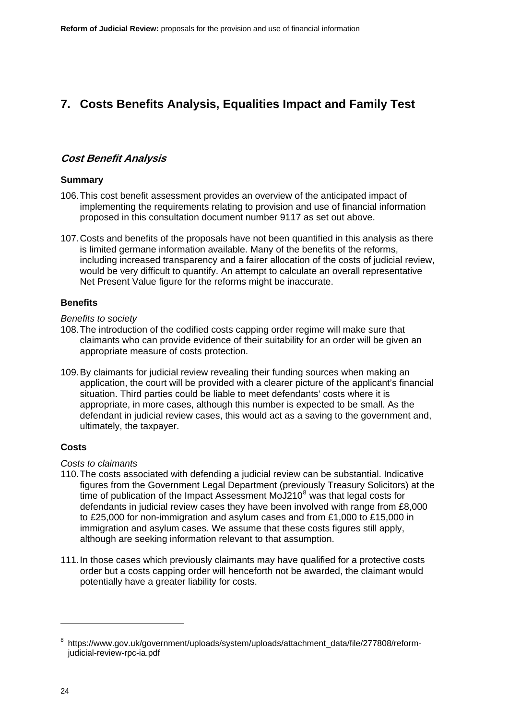## <span id="page-28-0"></span>**7. Costs Benefits Analysis, Equalities Impact and Family Test**

#### **Cost Benefit Analysis**

#### **Summary**

- 106. This cost benefit assessment provides an overview of the anticipated impact of implementing the requirements relating to provision and use of financial information proposed in this consultation document number 9117 as set out above.
- 107. Costs and benefits of the proposals have not been quantified in this analysis as there is limited germane information available. Many of the benefits of the reforms, including increased transparency and a fairer allocation of the costs of judicial review, would be very difficult to quantify. An attempt to calculate an overall representative Net Present Value figure for the reforms might be inaccurate.

#### **Benefits**

#### *Benefits to society*

- 108. The introduction of the codified costs capping order regime will make sure that claimants who can provide evidence of their suitability for an order will be given an appropriate measure of costs protection.
- 109. By claimants for judicial review revealing their funding sources when making an application, the court will be provided with a clearer picture of the applicant's financial situation. Third parties could be liable to meet defendants' costs where it is appropriate, in more cases, although this number is expected to be small. As the defendant in judicial review cases, this would act as a saving to the government and, ultimately, the taxpayer.

#### **Costs**

#### *Costs to claimants*

- 110. The costs associated with defending a judicial review can be substantial. Indicative figures from the Government Legal Department (previously Treasury Solicitors) at the time of publication of the Impact Assessment MoJ210 $^8$  $^8$  was that legal costs for defendants in judicial review cases they have been involved with range from £8,000 to £25,000 for non-immigration and asylum cases and from £1,000 to £15,000 in immigration and asylum cases. We assume that these costs figures still apply, although are seeking information relevant to that assumption.
- 111. In those cases which previously claimants may have qualified for a protective costs order but a costs capping order will henceforth not be awarded, the claimant would potentially have a greater liability for costs.

-

<span id="page-28-1"></span><sup>&</sup>lt;sup>8</sup> https://www.gov.uk/government/uploads/system/uploads/attachment\_data/file/277808/reformjudicial-review-rpc-ia.pdf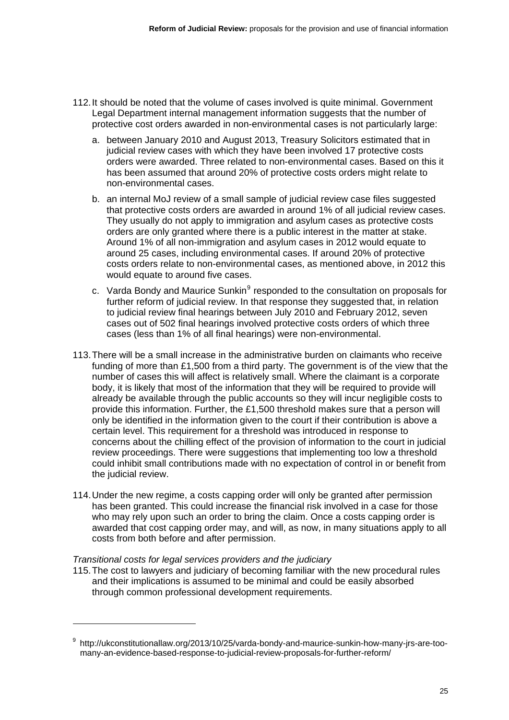- 112. It should be noted that the volume of cases involved is quite minimal. Government Legal Department internal management information suggests that the number of protective cost orders awarded in non-environmental cases is not particularly large:
	- a. between January 2010 and August 2013, Treasury Solicitors estimated that in judicial review cases with which they have been involved 17 protective costs orders were awarded. Three related to non-environmental cases. Based on this it has been assumed that around 20% of protective costs orders might relate to non-environmental cases.
	- b. an internal MoJ review of a small sample of judicial review case files suggested that protective costs orders are awarded in around 1% of all judicial review cases. They usually do not apply to immigration and asylum cases as protective costs orders are only granted where there is a public interest in the matter at stake. Around 1% of all non-immigration and asylum cases in 2012 would equate to around 25 cases, including environmental cases. If around 20% of protective costs orders relate to non-environmental cases, as mentioned above, in 2012 this would equate to around five cases.
	- c. Varda Bondy and Maurice Sunkin<sup>[9](#page-29-0)</sup> responded to the consultation on proposals for further reform of judicial review. In that response they suggested that, in relation to judicial review final hearings between July 2010 and February 2012, seven cases out of 502 final hearings involved protective costs orders of which three cases (less than 1% of all final hearings) were non-environmental.
- 113. There will be a small increase in the administrative burden on claimants who receive funding of more than £1,500 from a third party. The government is of the view that the number of cases this will affect is relatively small. Where the claimant is a corporate body, it is likely that most of the information that they will be required to provide will already be available through the public accounts so they will incur negligible costs to provide this information. Further, the £1,500 threshold makes sure that a person will only be identified in the information given to the court if their contribution is above a certain level. This requirement for a threshold was introduced in response to concerns about the chilling effect of the provision of information to the court in judicial review proceedings. There were suggestions that implementing too low a threshold could inhibit small contributions made with no expectation of control in or benefit from the judicial review.
- 114. Under the new regime, a costs capping order will only be granted after permission has been granted. This could increase the financial risk involved in a case for those who may rely upon such an order to bring the claim. Once a costs capping order is awarded that cost capping order may, and will, as now, in many situations apply to all costs from both before and after permission.

#### *Transitional costs for legal services providers and the judiciary*

1

115. The cost to lawyers and judiciary of becoming familiar with the new procedural rules and their implications is assumed to be minimal and could be easily absorbed through common professional development requirements.

<span id="page-29-0"></span><sup>9</sup> [http://ukconstitutionallaw.org/2013/10/25/varda-bondy-and-maurice-sunkin-how-many-jrs-are-too](http://ukconstitutionallaw.org/2013/10/25/varda-bondy-and-maurice-sunkin-how-many-jrs-are-too-many-an-evidence-based-response-to-judicial-review-proposals-for-further-reform/)[many-an-evidence-based-response-to-judicial-review-proposals-for-further-reform/](http://ukconstitutionallaw.org/2013/10/25/varda-bondy-and-maurice-sunkin-how-many-jrs-are-too-many-an-evidence-based-response-to-judicial-review-proposals-for-further-reform/)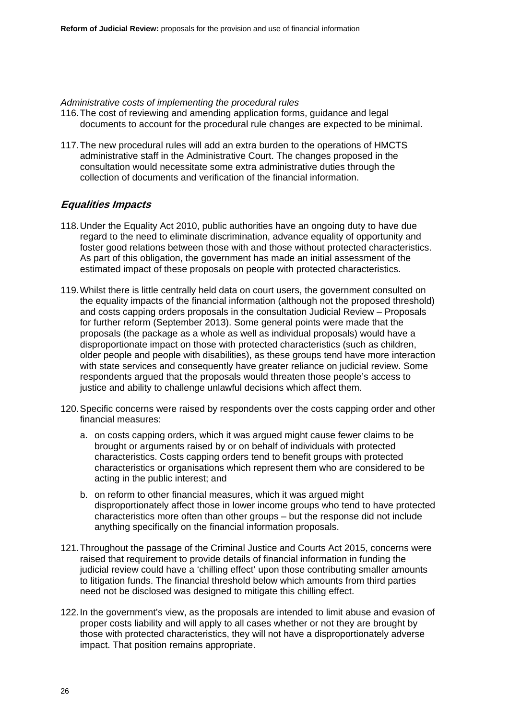#### *Administrative costs of implementing the procedural rules*

- 116. The cost of reviewing and amending application forms, guidance and legal documents to account for the procedural rule changes are expected to be minimal.
- 117. The new procedural rules will add an extra burden to the operations of HMCTS administrative staff in the Administrative Court. The changes proposed in the consultation would necessitate some extra administrative duties through the collection of documents and verification of the financial information.

#### **Equalities Impacts**

- 118. Under the Equality Act 2010, public authorities have an ongoing duty to have due regard to the need to eliminate discrimination, advance equality of opportunity and foster good relations between those with and those without protected characteristics. As part of this obligation, the government has made an initial assessment of the estimated impact of these proposals on people with protected characteristics.
- 119. Whilst there is little centrally held data on court users, the government consulted on the equality impacts of the financial information (although not the proposed threshold) and costs capping orders proposals in the consultation Judicial Review – Proposals for further reform (September 2013). Some general points were made that the proposals (the package as a whole as well as individual proposals) would have a disproportionate impact on those with protected characteristics (such as children, older people and people with disabilities), as these groups tend have more interaction with state services and consequently have greater reliance on judicial review. Some respondents argued that the proposals would threaten those people's access to justice and ability to challenge unlawful decisions which affect them.
- 120. Specific concerns were raised by respondents over the costs capping order and other financial measures:
	- a. on costs capping orders, which it was argued might cause fewer claims to be brought or arguments raised by or on behalf of individuals with protected characteristics. Costs capping orders tend to benefit groups with protected characteristics or organisations which represent them who are considered to be acting in the public interest; and
	- b. on reform to other financial measures, which it was argued might disproportionately affect those in lower income groups who tend to have protected characteristics more often than other groups – but the response did not include anything specifically on the financial information proposals.
- 121. Throughout the passage of the Criminal Justice and Courts Act 2015, concerns were raised that requirement to provide details of financial information in funding the judicial review could have a 'chilling effect' upon those contributing smaller amounts to litigation funds. The financial threshold below which amounts from third parties need not be disclosed was designed to mitigate this chilling effect.
- 122. In the government's view, as the proposals are intended to limit abuse and evasion of proper costs liability and will apply to all cases whether or not they are brought by those with protected characteristics, they will not have a disproportionately adverse impact. That position remains appropriate.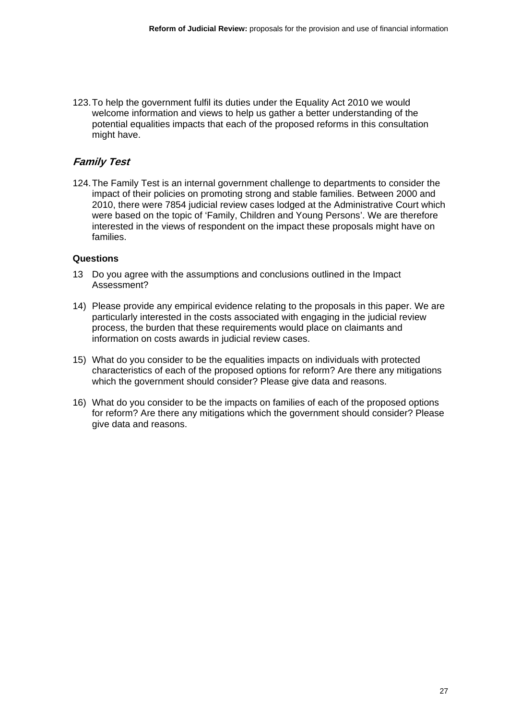123. To help the government fulfil its duties under the Equality Act 2010 we would welcome information and views to help us gather a better understanding of the potential equalities impacts that each of the proposed reforms in this consultation might have.

#### **Family Test**

124. The Family Test is an internal government challenge to departments to consider the impact of their policies on promoting strong and stable families. Between 2000 and 2010, there were 7854 judicial review cases lodged at the Administrative Court which were based on the topic of 'Family, Children and Young Persons'. We are therefore interested in the views of respondent on the impact these proposals might have on families.

#### **Questions**

- 13 Do you agree with the assumptions and conclusions outlined in the Impact Assessment?
- 14) Please provide any empirical evidence relating to the proposals in this paper. We are particularly interested in the costs associated with engaging in the judicial review process, the burden that these requirements would place on claimants and information on costs awards in judicial review cases.
- 15) What do you consider to be the equalities impacts on individuals with protected characteristics of each of the proposed options for reform? Are there any mitigations which the government should consider? Please give data and reasons.
- 16) What do you consider to be the impacts on families of each of the proposed options for reform? Are there any mitigations which the government should consider? Please give data and reasons.